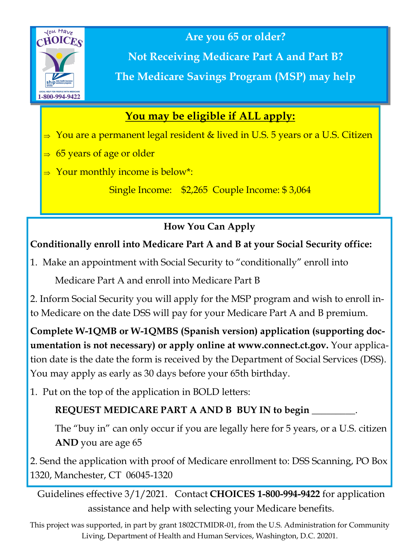

**Are you 65 or older?**

**Not Receiving Medicare Part A and Part B? The Medicare Savings Program (MSP) may help**

## **You may be eligible if ALL apply:**

- $\Rightarrow$  You are a permanent legal resident & lived in U.S. 5 years or a U.S. Citizen
- $\Rightarrow$  65 years of age or older
- $\Rightarrow$  Your monthly income is below\*:

Single Income: \$2,265 Couple Income: \$ 3,064

## **How You Can Apply**

### **Conditionally enroll into Medicare Part A and B at your Social Security office:**

1. Make an appointment with Social Security to "conditionally" enroll into

Medicare Part A and enroll into Medicare Part B

2. Inform Social Security you will apply for the MSP program and wish to enroll into Medicare on the date DSS will pay for your Medicare Part A and B premium.

**Complete W-1QMB or W-1QMBS (Spanish version) application (supporting documentation is not necessary) or apply online at www.connect.ct.gov.** Your application date is the date the form is received by the Department of Social Services (DSS). You may apply as early as 30 days before your 65th birthday.

1. Put on the top of the application in BOLD letters:

## **REQUEST MEDICARE PART A AND B BUY IN to begin** \_\_\_\_\_\_\_\_\_.

The "buy in" can only occur if you are legally here for 5 years, or a U.S. citizen **AND** you are age 65

2. Send the application with proof of Medicare enrollment to: DSS Scanning, PO Box 1320, Manchester, CT 06045-1320

Guidelines effective 3/1/2021. Contact **CHOICES 1-800-994-9422** for application assistance and help with selecting your Medicare benefits.

This project was supported, in part by grant 1802CTMIDR-01, from the U.S. Administration for Community Living, Department of Health and Human Services, Washington, D.C. 20201.